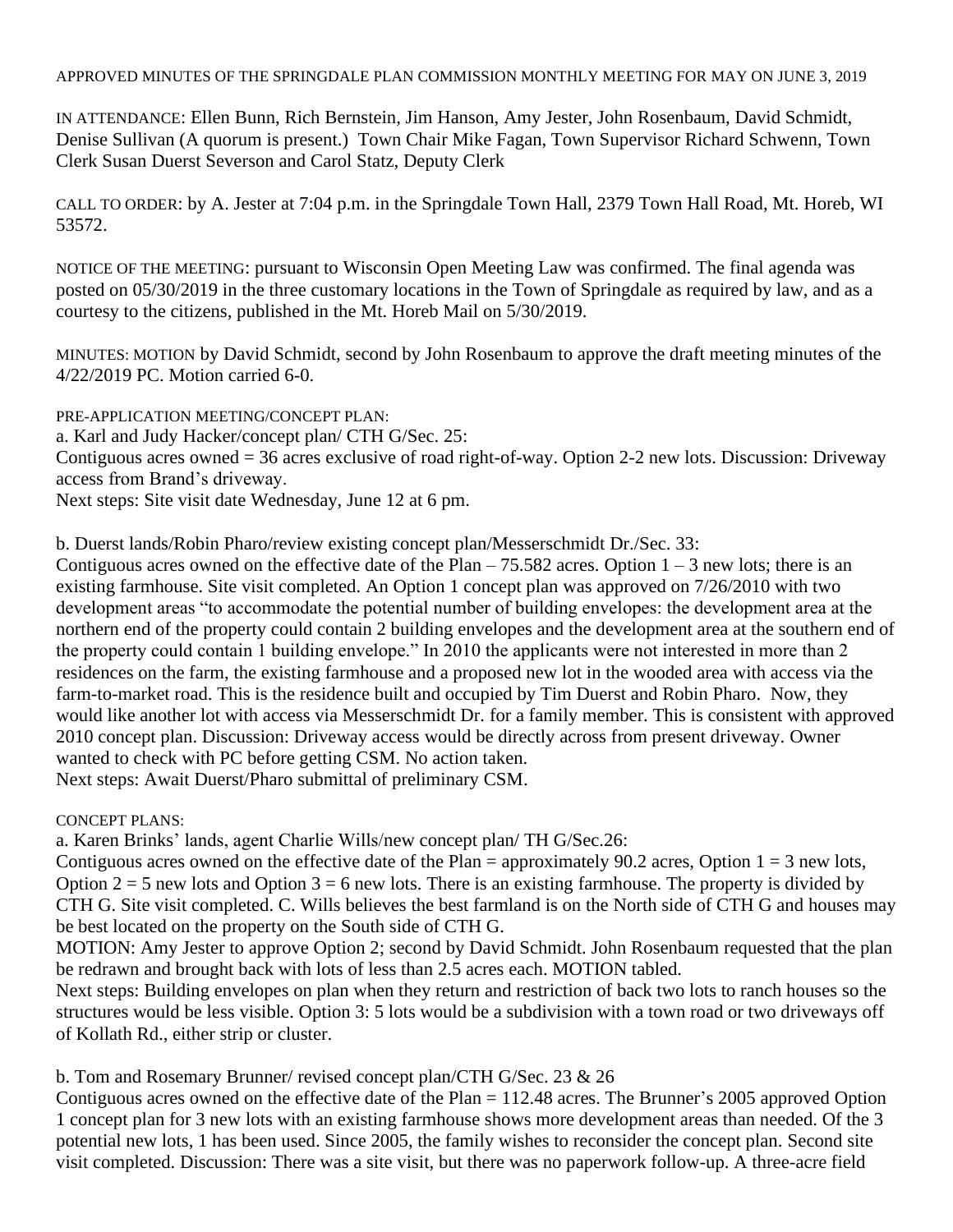APPROVED MINUTES OF THE SPRINGDALE PLAN COMMISSION MONTHLY MEETING FOR MAY ON JUNE 3, 2019

IN ATTENDANCE: Ellen Bunn, Rich Bernstein, Jim Hanson, Amy Jester, John Rosenbaum, David Schmidt, Denise Sullivan (A quorum is present.) Town Chair Mike Fagan, Town Supervisor Richard Schwenn, Town Clerk Susan Duerst Severson and Carol Statz, Deputy Clerk

CALL TO ORDER: by A. Jester at 7:04 p.m. in the Springdale Town Hall, 2379 Town Hall Road, Mt. Horeb, WI 53572.

NOTICE OF THE MEETING: pursuant to Wisconsin Open Meeting Law was confirmed. The final agenda was posted on 05/30/2019 in the three customary locations in the Town of Springdale as required by law, and as a courtesy to the citizens, published in the Mt. Horeb Mail on 5/30/2019.

MINUTES: MOTION by David Schmidt, second by John Rosenbaum to approve the draft meeting minutes of the 4/22/2019 PC. Motion carried 6-0.

PRE-APPLICATION MEETING/CONCEPT PLAN: a. Karl and Judy Hacker/concept plan/ CTH G/Sec. 25: Contiguous acres owned = 36 acres exclusive of road right-of-way. Option 2-2 new lots. Discussion: Driveway access from Brand's driveway. Next steps: Site visit date Wednesday, June 12 at 6 pm.

b. Duerst lands/Robin Pharo/review existing concept plan/Messerschmidt Dr./Sec. 33:

Contiguous acres owned on the effective date of the Plan – 75.582 acres. Option  $1 - 3$  new lots; there is an existing farmhouse. Site visit completed. An Option 1 concept plan was approved on 7/26/2010 with two development areas "to accommodate the potential number of building envelopes: the development area at the northern end of the property could contain 2 building envelopes and the development area at the southern end of the property could contain 1 building envelope." In 2010 the applicants were not interested in more than 2 residences on the farm, the existing farmhouse and a proposed new lot in the wooded area with access via the farm-to-market road. This is the residence built and occupied by Tim Duerst and Robin Pharo. Now, they would like another lot with access via Messerschmidt Dr. for a family member. This is consistent with approved 2010 concept plan. Discussion: Driveway access would be directly across from present driveway. Owner wanted to check with PC before getting CSM. No action taken. Next steps: Await Duerst/Pharo submittal of preliminary CSM.

CONCEPT PLANS:

a. Karen Brinks' lands, agent Charlie Wills/new concept plan/ TH G/Sec.26:

Contiguous acres owned on the effective date of the Plan = approximately 90.2 acres, Option  $1 = 3$  new lots, Option  $2 = 5$  new lots and Option  $3 = 6$  new lots. There is an existing farmhouse. The property is divided by CTH G. Site visit completed. C. Wills believes the best farmland is on the North side of CTH G and houses may be best located on the property on the South side of CTH G.

MOTION: Amy Jester to approve Option 2; second by David Schmidt. John Rosenbaum requested that the plan be redrawn and brought back with lots of less than 2.5 acres each. MOTION tabled.

Next steps: Building envelopes on plan when they return and restriction of back two lots to ranch houses so the structures would be less visible. Option 3: 5 lots would be a subdivision with a town road or two driveways off of Kollath Rd., either strip or cluster.

b. Tom and Rosemary Brunner/ revised concept plan/CTH G/Sec. 23 & 26

Contiguous acres owned on the effective date of the Plan = 112.48 acres. The Brunner's 2005 approved Option 1 concept plan for 3 new lots with an existing farmhouse shows more development areas than needed. Of the 3 potential new lots, 1 has been used. Since 2005, the family wishes to reconsider the concept plan. Second site visit completed. Discussion: There was a site visit, but there was no paperwork follow-up. A three-acre field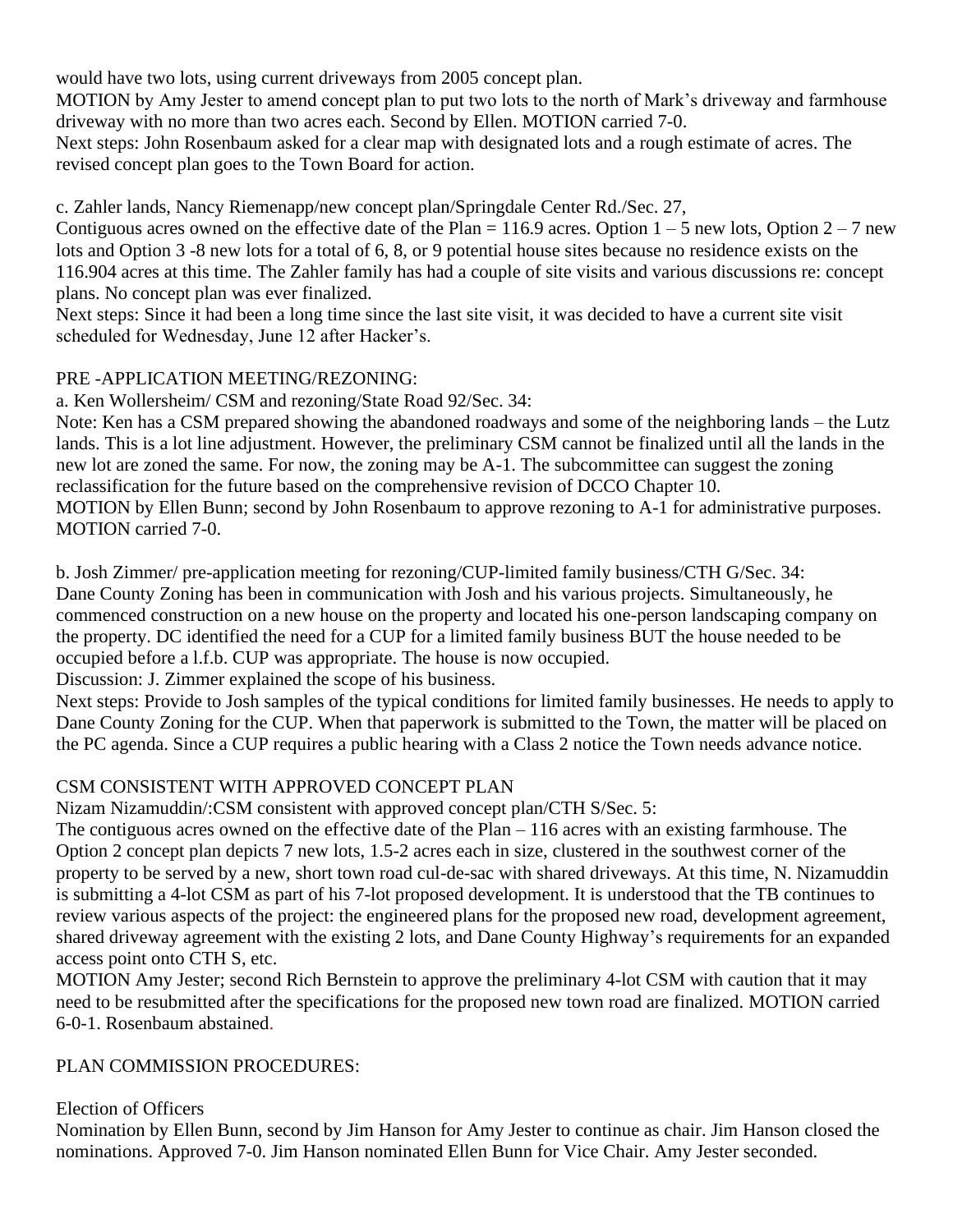would have two lots, using current driveways from 2005 concept plan.

MOTION by Amy Jester to amend concept plan to put two lots to the north of Mark's driveway and farmhouse driveway with no more than two acres each. Second by Ellen. MOTION carried 7-0.

Next steps: John Rosenbaum asked for a clear map with designated lots and a rough estimate of acres. The revised concept plan goes to the Town Board for action.

c. Zahler lands, Nancy Riemenapp/new concept plan/Springdale Center Rd./Sec. 27,

Contiguous acres owned on the effective date of the Plan = 116.9 acres. Option  $1 - 5$  new lots, Option  $2 - 7$  new lots and Option 3 -8 new lots for a total of 6, 8, or 9 potential house sites because no residence exists on the 116.904 acres at this time. The Zahler family has had a couple of site visits and various discussions re: concept plans. No concept plan was ever finalized.

Next steps: Since it had been a long time since the last site visit, it was decided to have a current site visit scheduled for Wednesday, June 12 after Hacker's.

## PRE -APPLICATION MEETING/REZONING:

a. Ken Wollersheim/ CSM and rezoning/State Road 92/Sec. 34:

Note: Ken has a CSM prepared showing the abandoned roadways and some of the neighboring lands – the Lutz lands. This is a lot line adjustment. However, the preliminary CSM cannot be finalized until all the lands in the new lot are zoned the same. For now, the zoning may be A-1. The subcommittee can suggest the zoning reclassification for the future based on the comprehensive revision of DCCO Chapter 10. MOTION by Ellen Bunn; second by John Rosenbaum to approve rezoning to A-1 for administrative purposes. MOTION carried 7-0.

b. Josh Zimmer/ pre-application meeting for rezoning/CUP-limited family business/CTH G/Sec. 34: Dane County Zoning has been in communication with Josh and his various projects. Simultaneously, he commenced construction on a new house on the property and located his one-person landscaping company on the property. DC identified the need for a CUP for a limited family business BUT the house needed to be occupied before a l.f.b. CUP was appropriate. The house is now occupied.

Discussion: J. Zimmer explained the scope of his business.

Next steps: Provide to Josh samples of the typical conditions for limited family businesses. He needs to apply to Dane County Zoning for the CUP. When that paperwork is submitted to the Town, the matter will be placed on the PC agenda. Since a CUP requires a public hearing with a Class 2 notice the Town needs advance notice.

## CSM CONSISTENT WITH APPROVED CONCEPT PLAN

Nizam Nizamuddin/:CSM consistent with approved concept plan/CTH S/Sec. 5:

The contiguous acres owned on the effective date of the Plan – 116 acres with an existing farmhouse. The Option 2 concept plan depicts 7 new lots, 1.5-2 acres each in size, clustered in the southwest corner of the property to be served by a new, short town road cul-de-sac with shared driveways. At this time, N. Nizamuddin is submitting a 4-lot CSM as part of his 7-lot proposed development. It is understood that the TB continues to review various aspects of the project: the engineered plans for the proposed new road, development agreement, shared driveway agreement with the existing 2 lots, and Dane County Highway's requirements for an expanded access point onto CTH S, etc.

MOTION Amy Jester; second Rich Bernstein to approve the preliminary 4-lot CSM with caution that it may need to be resubmitted after the specifications for the proposed new town road are finalized. MOTION carried 6-0-1. Rosenbaum abstained.

## PLAN COMMISSION PROCEDURES:

Election of Officers

Nomination by Ellen Bunn, second by Jim Hanson for Amy Jester to continue as chair. Jim Hanson closed the nominations. Approved 7-0. Jim Hanson nominated Ellen Bunn for Vice Chair. Amy Jester seconded.